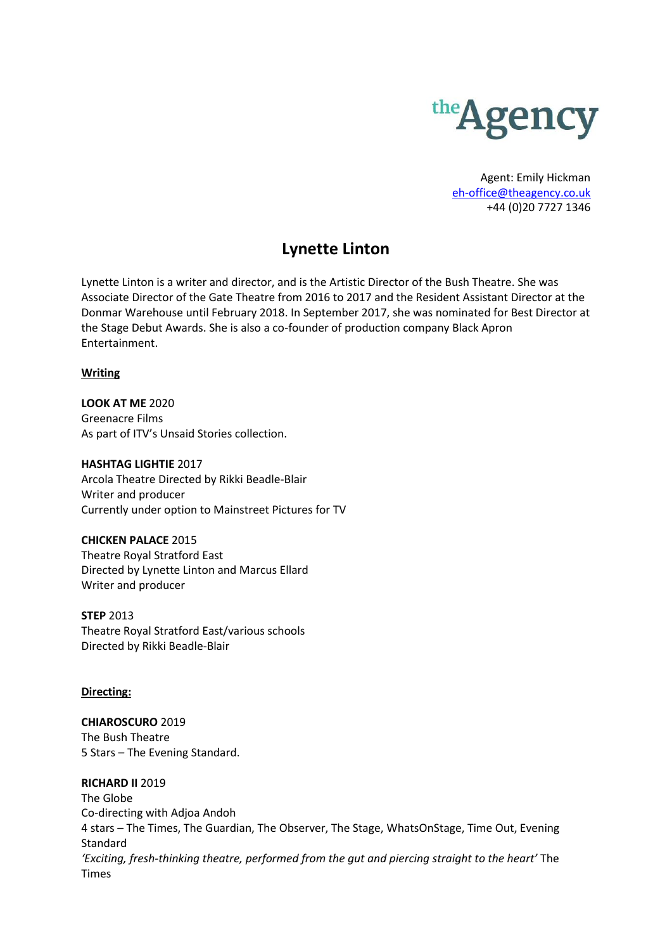

Agent: Emily Hickman [eh-office@theagency.co.uk](mailto:eh-office@theagency.co.uk) +44 (0)20 7727 1346

# **Lynette Linton**

Lynette Linton is a writer and director, and is the Artistic Director of the Bush Theatre. She was Associate Director of the Gate Theatre from 2016 to 2017 and the Resident Assistant Director at the Donmar Warehouse until February 2018. In September 2017, she was nominated for Best Director at the Stage Debut Awards. She is also a co-founder of production company Black Apron Entertainment.

## **Writing**

**LOOK AT ME** 2020 Greenacre Films As part of ITV's Unsaid Stories collection.

## **HASHTAG LIGHTIE** 2017

Arcola Theatre Directed by Rikki Beadle-Blair Writer and producer Currently under option to Mainstreet Pictures for TV

## **CHICKEN PALACE** 2015

Theatre Royal Stratford East Directed by Lynette Linton and Marcus Ellard Writer and producer

**STEP** 2013 Theatre Royal Stratford East/various schools Directed by Rikki Beadle-Blair

## **Directing:**

**CHIAROSCURO** 2019 The Bush Theatre 5 Stars – The Evening Standard.

## **RICHARD II** 2019

The Globe Co-directing with Adjoa Andoh 4 stars – The Times, The Guardian, The Observer, The Stage, WhatsOnStage, Time Out, Evening Standard *'Exciting, fresh-thinking theatre, performed from the gut and piercing straight to the heart'* The Times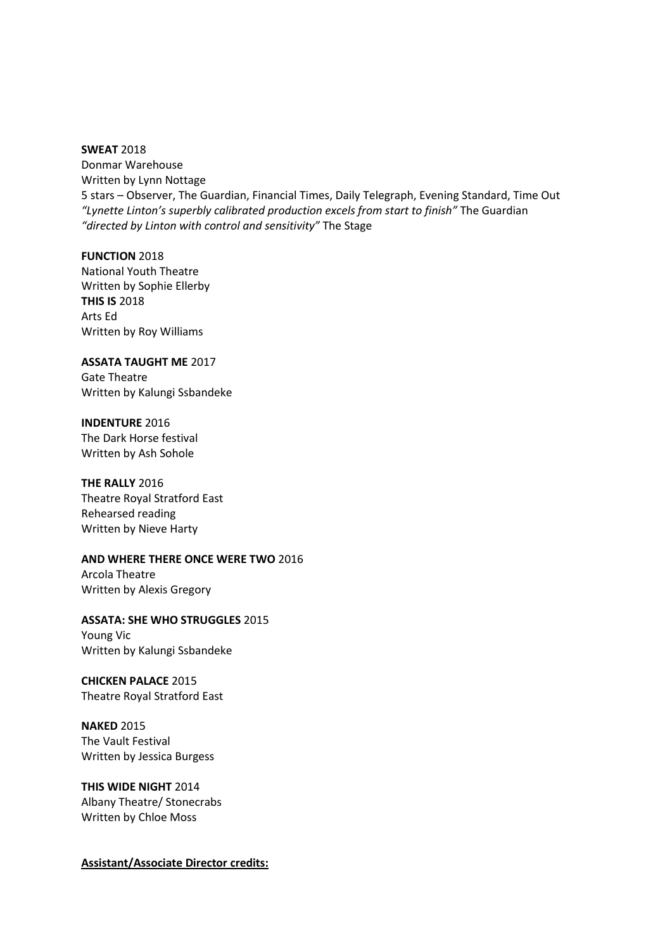#### **SWEAT** 2018

Donmar Warehouse Written by Lynn Nottage 5 stars – Observer, The Guardian, Financial Times, Daily Telegraph, Evening Standard, Time Out *"Lynette Linton's superbly calibrated production excels from start to finish"* The Guardian *"directed by Linton with control and sensitivity"* The Stage

**FUNCTION** 2018 National Youth Theatre Written by Sophie Ellerby **THIS IS** 2018 Arts Ed Written by Roy Williams

**ASSATA TAUGHT ME** 2017 Gate Theatre Written by Kalungi Ssbandeke

**INDENTURE** 2016 The Dark Horse festival Written by Ash Sohole

**THE RALLY** 2016 Theatre Royal Stratford East Rehearsed reading Written by Nieve Harty

**AND WHERE THERE ONCE WERE TWO** 2016 Arcola Theatre Written by Alexis Gregory

**ASSATA: SHE WHO STRUGGLES** 2015 Young Vic Written by Kalungi Ssbandeke

**CHICKEN PALACE** 2015 Theatre Royal Stratford East

**NAKED** 2015 The Vault Festival Written by Jessica Burgess

**THIS WIDE NIGHT** 2014 Albany Theatre/ Stonecrabs Written by Chloe Moss

**Assistant/Associate Director credits:**